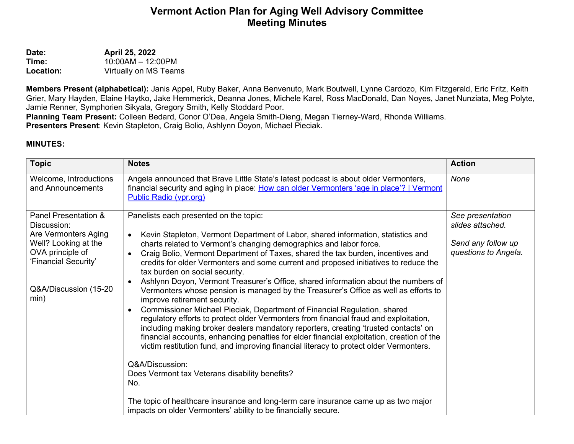## **Vermont Action Plan for Aging Well Advisory Committee Meeting Minutes**

**Date: April 25, 2022**<br>**Time: 10:00AM - 12:0 Time:** 10:00AM – 12:00PM<br> **Location:** Virtually on MS Team **Location:** Virtually on MS Teams

**Members Present (alphabetical):** Janis Appel, Ruby Baker, Anna Benvenuto, Mark Boutwell, Lynne Cardozo, Kim Fitzgerald, Eric Fritz, Keith Grier, Mary Hayden, Elaine Haytko, Jake Hemmerick, Deanna Jones, Michele Karel, Ross MacDonald, Dan Noyes, Janet Nunziata, Meg Polyte, Jamie Renner, Symphorien Sikyala, Gregory Smith, Kelly Stoddard Poor.

**Planning Team Present:** Colleen Bedard, Conor O'Dea, Angela Smith-Dieng, Megan Tierney-Ward, Rhonda Williams. **Presenters Present**: Kevin Stapleton, Craig Bolio, Ashlynn Doyon, Michael Pieciak.

## **MINUTES:**

| <b>Topic</b>                                                                                                                                                     | <b>Notes</b>                                                                                                                                                                                                                                                                                                                                                                                                                                                                                                                                                                                  | <b>Action</b>                              |
|------------------------------------------------------------------------------------------------------------------------------------------------------------------|-----------------------------------------------------------------------------------------------------------------------------------------------------------------------------------------------------------------------------------------------------------------------------------------------------------------------------------------------------------------------------------------------------------------------------------------------------------------------------------------------------------------------------------------------------------------------------------------------|--------------------------------------------|
| Welcome, Introductions<br>and Announcements                                                                                                                      | Angela announced that Brave Little State's latest podcast is about older Vermonters,<br>financial security and aging in place: How can older Vermonters 'age in place'?   Vermont<br>Public Radio (vpr.org)                                                                                                                                                                                                                                                                                                                                                                                   | None                                       |
| Panel Presentation &<br>Discussion:<br>Are Vermonters Aging<br>Well? Looking at the<br>OVA principle of<br>'Financial Security'<br>Q&A/Discussion (15-20<br>min) | Panelists each presented on the topic:                                                                                                                                                                                                                                                                                                                                                                                                                                                                                                                                                        | See presentation<br>slides attached.       |
|                                                                                                                                                                  | Kevin Stapleton, Vermont Department of Labor, shared information, statistics and<br>$\bullet$<br>charts related to Vermont's changing demographics and labor force.<br>Craig Bolio, Vermont Department of Taxes, shared the tax burden, incentives and<br>credits for older Vermonters and some current and proposed initiatives to reduce the<br>tax burden on social security.<br>Ashlynn Doyon, Vermont Treasurer's Office, shared information about the numbers of<br>Vermonters whose pension is managed by the Treasurer's Office as well as efforts to<br>improve retirement security. | Send any follow up<br>questions to Angela. |
|                                                                                                                                                                  | Commissioner Michael Pieciak, Department of Financial Regulation, shared<br>regulatory efforts to protect older Vermonters from financial fraud and exploitation,<br>including making broker dealers mandatory reporters, creating 'trusted contacts' on<br>financial accounts, enhancing penalties for elder financial exploitation, creation of the<br>victim restitution fund, and improving financial literacy to protect older Vermonters.                                                                                                                                               |                                            |
|                                                                                                                                                                  | Q&A/Discussion:<br>Does Vermont tax Veterans disability benefits?<br>No.                                                                                                                                                                                                                                                                                                                                                                                                                                                                                                                      |                                            |
|                                                                                                                                                                  | The topic of healthcare insurance and long-term care insurance came up as two major<br>impacts on older Vermonters' ability to be financially secure.                                                                                                                                                                                                                                                                                                                                                                                                                                         |                                            |